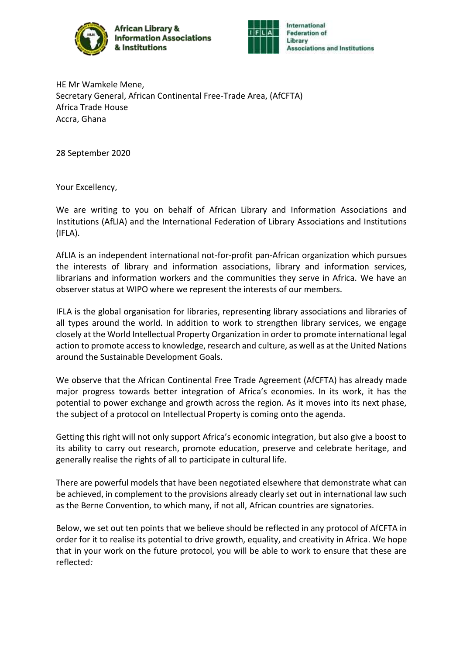



HE Mr Wamkele Mene, Secretary General, African Continental Free-Trade Area, (AfCFTA) Africa Trade House Accra, Ghana

28 September 2020

Your Excellency,

We are writing to you on behalf of African Library and Information Associations and Institutions (AfLIA) and the International Federation of Library Associations and Institutions (IFLA).

AfLIA is an independent international not-for-profit pan-African organization which pursues the interests of library and information associations, library and information services, librarians and information workers and the communities they serve in Africa. We have an observer status at WIPO where we represent the interests of our members.

IFLA is the global organisation for libraries, representing library associations and libraries of all types around the world. In addition to work to strengthen library services, we engage closely at the World Intellectual Property Organization in order to promote international legal action to promote access to knowledge, research and culture, as well as at the United Nations around the Sustainable Development Goals.

We observe that the African Continental Free Trade Agreement (AfCFTA) has already made major progress towards better integration of Africa's economies. In its work, it has the potential to power exchange and growth across the region. As it moves into its next phase, the subject of a protocol on Intellectual Property is coming onto the agenda.

Getting this right will not only support Africa's economic integration, but also give a boost to its ability to carry out research, promote education, preserve and celebrate heritage, and generally realise the rights of all to participate in cultural life.

There are powerful models that have been negotiated elsewhere that demonstrate what can be achieved, in complement to the provisions already clearly set out in international law such as the Berne Convention, to which many, if not all, African countries are signatories.

Below, we set out ten points that we believe should be reflected in any protocol of AfCFTA in order for it to realise its potential to drive growth, equality, and creativity in Africa. We hope that in your work on the future protocol, you will be able to work to ensure that these are reflected*:*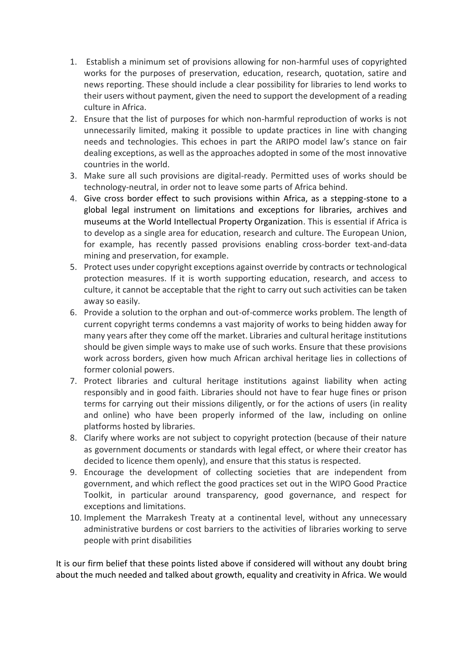- 1. Establish a minimum set of provisions allowing for non-harmful uses of copyrighted works for the purposes of preservation, education, research, quotation, satire and news reporting. These should include a clear possibility for libraries to lend works to their users without payment, given the need to support the development of a reading culture in Africa.
- 2. Ensure that the list of purposes for which non-harmful reproduction of works is not unnecessarily limited, making it possible to update practices in line with changing needs and technologies. This echoes in part the ARIPO model law's stance on fair dealing exceptions, as well as the approaches adopted in some of the most innovative countries in the world.
- 3. Make sure all such provisions are digital-ready. Permitted uses of works should be technology-neutral, in order not to leave some parts of Africa behind.
- 4. Give cross border effect to such provisions within Africa, as a stepping-stone to a global legal instrument on limitations and exceptions for libraries, archives and museums at the World Intellectual Property Organization. This is essential if Africa is to develop as a single area for education, research and culture. The European Union, for example, has recently passed provisions enabling cross-border text-and-data mining and preservation, for example.
- 5. Protect uses under copyright exceptions against override by contracts or technological protection measures. If it is worth supporting education, research, and access to culture, it cannot be acceptable that the right to carry out such activities can be taken away so easily.
- 6. Provide a solution to the orphan and out-of-commerce works problem. The length of current copyright terms condemns a vast majority of works to being hidden away for many years after they come off the market. Libraries and cultural heritage institutions should be given simple ways to make use of such works. Ensure that these provisions work across borders, given how much African archival heritage lies in collections of former colonial powers.
- 7. Protect libraries and cultural heritage institutions against liability when acting responsibly and in good faith. Libraries should not have to fear huge fines or prison terms for carrying out their missions diligently, or for the actions of users (in reality and online) who have been properly informed of the law, including on online platforms hosted by libraries.
- 8. Clarify where works are not subject to copyright protection (because of their nature as government documents or standards with legal effect, or where their creator has decided to licence them openly), and ensure that this status is respected.
- 9. Encourage the development of collecting societies that are independent from government, and which reflect the good practices set out in the WIPO Good Practice Toolkit, in particular around transparency, good governance, and respect for exceptions and limitations.
- 10. Implement the Marrakesh Treaty at a continental level, without any unnecessary administrative burdens or cost barriers to the activities of libraries working to serve people with print disabilities

It is our firm belief that these points listed above if considered will without any doubt bring about the much needed and talked about growth, equality and creativity in Africa. We would